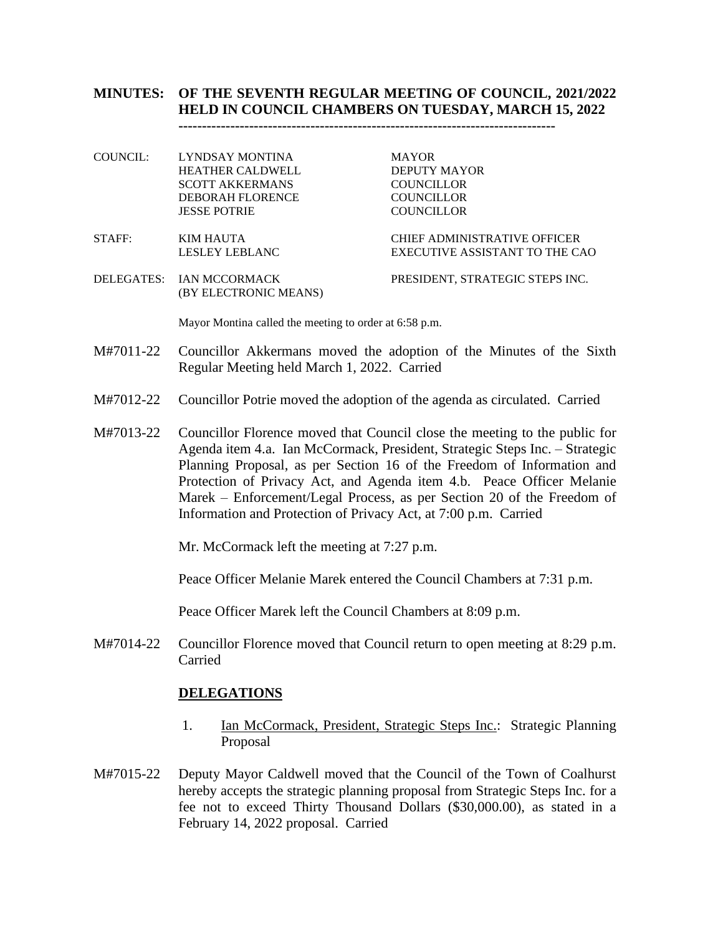# **MINUTES: OF THE SEVENTH REGULAR MEETING OF COUNCIL, 2021/2022 HELD IN COUNCIL CHAMBERS ON TUESDAY, MARCH 15, 2022**

**--------------------------------------------------------------------------------**

COUNCIL: LYNDSAY MONTINA MAYOR HEATHER CALDWELL DEPUTY MAYOR SCOTT AKKERMANS COUNCILLOR<br>DEBORAH FLORENCE COUNCILLOR DEBORAH FLORENCE JESSE POTRIE COUNCILLOR

- STAFF: KIM HAUTA CHIEF ADMINISTRATIVE OFFICER LESLEY LEBLANC EXECUTIVE ASSISTANT TO THE CAO
- DELEGATES: IAN MCCORMACK PRESIDENT, STRATEGIC STEPS INC. (BY ELECTRONIC MEANS)

Mayor Montina called the meeting to order at 6:58 p.m.

- M#7011-22 Councillor Akkermans moved the adoption of the Minutes of the Sixth Regular Meeting held March 1, 2022. Carried
- M#7012-22 Councillor Potrie moved the adoption of the agenda as circulated. Carried
- M#7013-22 Councillor Florence moved that Council close the meeting to the public for Agenda item 4.a. Ian McCormack, President, Strategic Steps Inc. – Strategic Planning Proposal, as per Section 16 of the Freedom of Information and Protection of Privacy Act, and Agenda item 4.b. Peace Officer Melanie Marek – Enforcement/Legal Process, as per Section 20 of the Freedom of Information and Protection of Privacy Act, at 7:00 p.m. Carried

Mr. McCormack left the meeting at 7:27 p.m.

Peace Officer Melanie Marek entered the Council Chambers at 7:31 p.m.

Peace Officer Marek left the Council Chambers at 8:09 p.m.

M#7014-22 Councillor Florence moved that Council return to open meeting at 8:29 p.m. Carried

### **DELEGATIONS**

- 1. Ian McCormack, President, Strategic Steps Inc.: Strategic Planning Proposal
- M#7015-22 Deputy Mayor Caldwell moved that the Council of the Town of Coalhurst hereby accepts the strategic planning proposal from Strategic Steps Inc. for a fee not to exceed Thirty Thousand Dollars (\$30,000.00), as stated in a February 14, 2022 proposal. Carried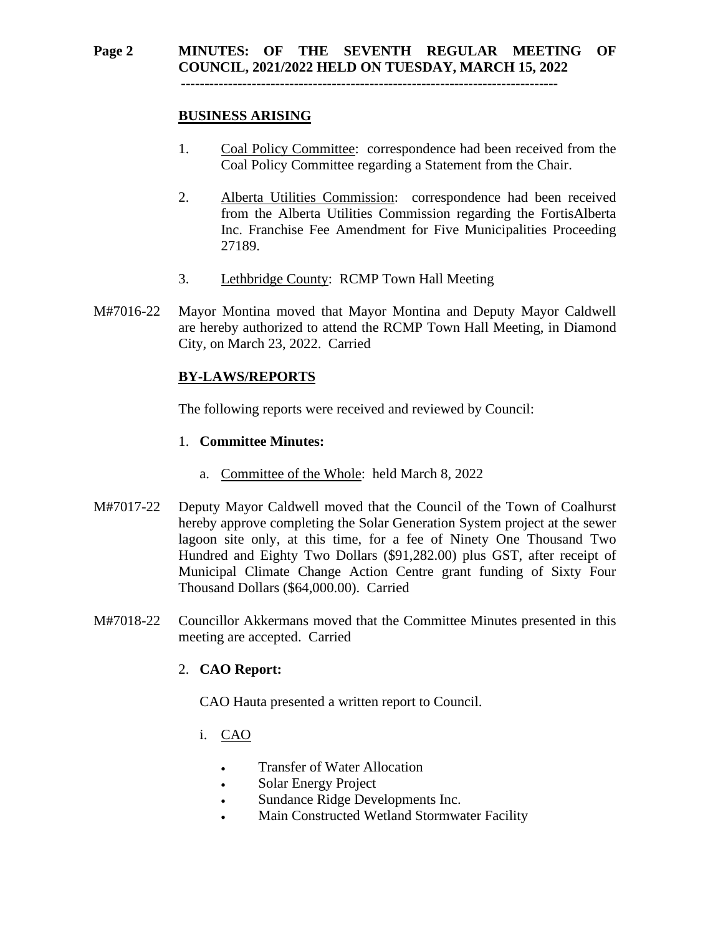#### **Page 2 MINUTES: OF THE SEVENTH REGULAR MEETING OF COUNCIL, 2021/2022 HELD ON TUESDAY, MARCH 15, 2022 --------------------------------------------------------------------------------**

### **BUSINESS ARISING**

- 1. Coal Policy Committee: correspondence had been received from the Coal Policy Committee regarding a Statement from the Chair.
- 2. Alberta Utilities Commission: correspondence had been received from the Alberta Utilities Commission regarding the FortisAlberta Inc. Franchise Fee Amendment for Five Municipalities Proceeding 27189.
- 3. Lethbridge County: RCMP Town Hall Meeting
- M#7016-22 Mayor Montina moved that Mayor Montina and Deputy Mayor Caldwell are hereby authorized to attend the RCMP Town Hall Meeting, in Diamond City, on March 23, 2022. Carried

### **BY-LAWS/REPORTS**

The following reports were received and reviewed by Council:

#### 1. **Committee Minutes:**

- a. Committee of the Whole: held March 8, 2022
- M#7017-22 Deputy Mayor Caldwell moved that the Council of the Town of Coalhurst hereby approve completing the Solar Generation System project at the sewer lagoon site only, at this time, for a fee of Ninety One Thousand Two Hundred and Eighty Two Dollars (\$91,282.00) plus GST, after receipt of Municipal Climate Change Action Centre grant funding of Sixty Four Thousand Dollars (\$64,000.00). Carried
- M#7018-22 Councillor Akkermans moved that the Committee Minutes presented in this meeting are accepted. Carried

### 2. **CAO Report:**

CAO Hauta presented a written report to Council.

- i. CAO
	- Transfer of Water Allocation
	- Solar Energy Project
	- Sundance Ridge Developments Inc.
	- Main Constructed Wetland Stormwater Facility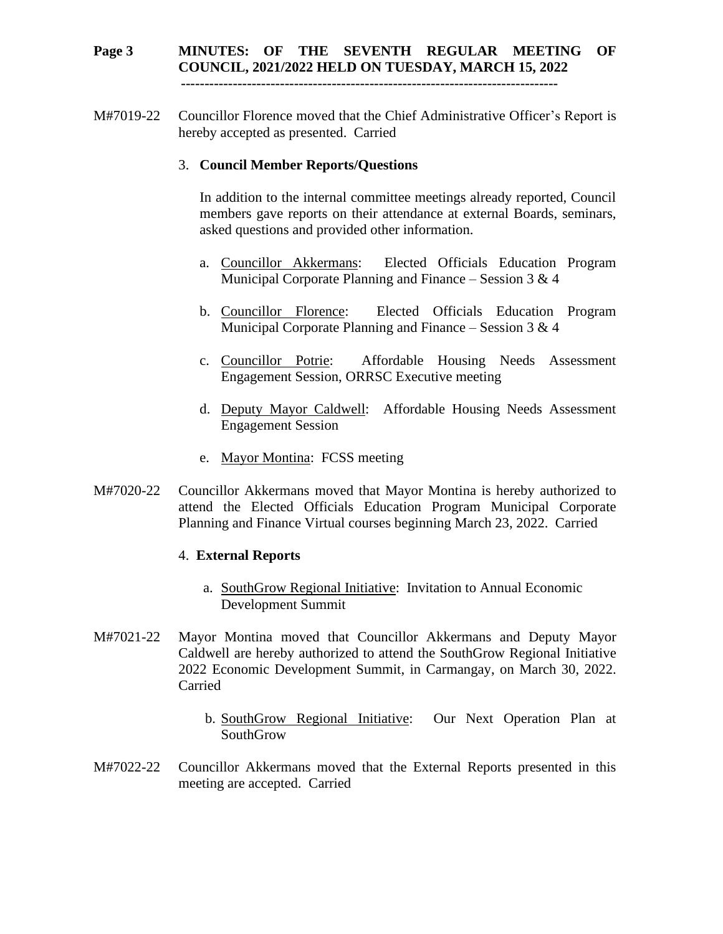# **Page 3 MINUTES: OF THE SEVENTH REGULAR MEETING OF COUNCIL, 2021/2022 HELD ON TUESDAY, MARCH 15, 2022**

 **--------------------------------------------------------------------------------**

M#7019-22 Councillor Florence moved that the Chief Administrative Officer's Report is hereby accepted as presented. Carried

### 3. **Council Member Reports/Questions**

In addition to the internal committee meetings already reported, Council members gave reports on their attendance at external Boards, seminars, asked questions and provided other information.

- a. Councillor Akkermans: Elected Officials Education Program Municipal Corporate Planning and Finance – Session  $3 \& 4$
- b. Councillor Florence: Elected Officials Education Program Municipal Corporate Planning and Finance – Session  $3 \& 4$
- c. Councillor Potrie: Affordable Housing Needs Assessment Engagement Session, ORRSC Executive meeting
- d. Deputy Mayor Caldwell: Affordable Housing Needs Assessment Engagement Session
- e. Mayor Montina: FCSS meeting
- M#7020-22 Councillor Akkermans moved that Mayor Montina is hereby authorized to attend the Elected Officials Education Program Municipal Corporate Planning and Finance Virtual courses beginning March 23, 2022. Carried

### 4. **External Reports**

- a. SouthGrow Regional Initiative: Invitation to Annual Economic Development Summit
- M#7021-22 Mayor Montina moved that Councillor Akkermans and Deputy Mayor Caldwell are hereby authorized to attend the SouthGrow Regional Initiative 2022 Economic Development Summit, in Carmangay, on March 30, 2022. Carried
	- b. SouthGrow Regional Initiative: Our Next Operation Plan at SouthGrow
- M#7022-22 Councillor Akkermans moved that the External Reports presented in this meeting are accepted. Carried